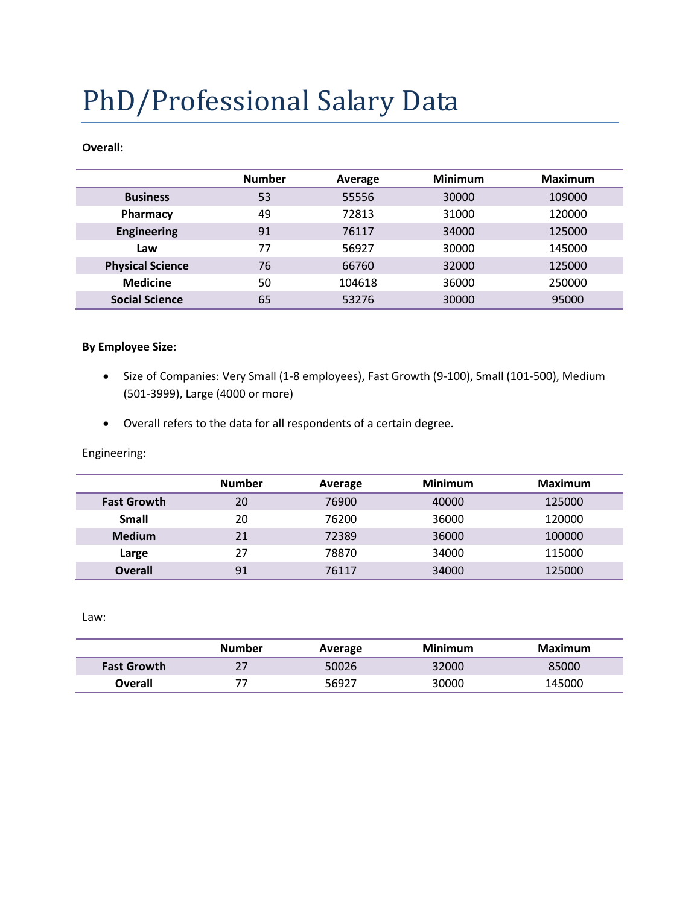# PhD/Professional Salary Data

#### **Overall:**

|                         | <b>Number</b> | Average | <b>Minimum</b> | <b>Maximum</b> |
|-------------------------|---------------|---------|----------------|----------------|
| <b>Business</b>         | 53            | 55556   | 30000          | 109000         |
| Pharmacy                | 49            | 72813   | 31000          | 120000         |
| <b>Engineering</b>      | 91            | 76117   | 34000          | 125000         |
| Law                     | 77            | 56927   | 30000          | 145000         |
| <b>Physical Science</b> | 76            | 66760   | 32000          | 125000         |
| <b>Medicine</b>         | 50            | 104618  | 36000          | 250000         |
| <b>Social Science</b>   | 65            | 53276   | 30000          | 95000          |

## **By Employee Size:**

- Size of Companies: Very Small (1-8 employees), Fast Growth (9-100), Small (101-500), Medium (501-3999), Large (4000 or more)
- Overall refers to the data for all respondents of a certain degree.

Engineering:

|                    | <b>Number</b> | Average | <b>Minimum</b> | <b>Maximum</b> |
|--------------------|---------------|---------|----------------|----------------|
| <b>Fast Growth</b> | 20            | 76900   | 40000          | 125000         |
| Small              | 20            | 76200   | 36000          | 120000         |
| <b>Medium</b>      | 21            | 72389   | 36000          | 100000         |
| Large              | 27            | 78870   | 34000          | 115000         |
| <b>Overall</b>     | 91            | 76117   | 34000          | 125000         |

Law:

|                    | Number | Average | Minimum | Maximum |
|--------------------|--------|---------|---------|---------|
| <b>Fast Growth</b> | 27     | 50026   | 32000   | 85000   |
| Overall            |        | 56927   | 30000   | 145000  |